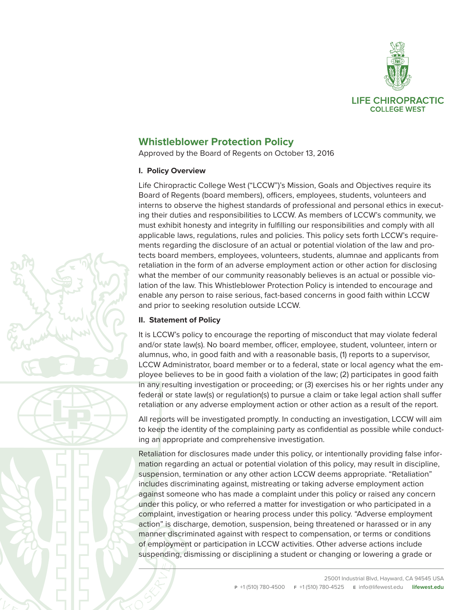

# **Whistleblower Protection Policy**

Approved by the Board of Regents on October 13, 2016

# **I. Policy Overview**

Life Chiropractic College West ("LCCW")'s Mission, Goals and Objectives require its Board of Regents (board members), officers, employees, students, volunteers and interns to observe the highest standards of professional and personal ethics in executing their duties and responsibilities to LCCW. As members of LCCW's community, we must exhibit honesty and integrity in fulfilling our responsibilities and comply with all applicable laws, regulations, rules and policies. This policy sets forth LCCW's requirements regarding the disclosure of an actual or potential violation of the law and protects board members, employees, volunteers, students, alumnae and applicants from retaliation in the form of an adverse employment action or other action for disclosing what the member of our community reasonably believes is an actual or possible violation of the law. This Whistleblower Protection Policy is intended to encourage and enable any person to raise serious, fact-based concerns in good faith within LCCW and prior to seeking resolution outside LCCW.

# **II. Statement of Policy**

It is LCCW's policy to encourage the reporting of misconduct that may violate federal and/or state law(s). No board member, officer, employee, student, volunteer, intern or alumnus, who, in good faith and with a reasonable basis, (1) reports to a supervisor, LCCW Administrator, board member or to a federal, state or local agency what the employee believes to be in good faith a violation of the law; (2) participates in good faith in any resulting investigation or proceeding; or (3) exercises his or her rights under any federal or state law(s) or regulation(s) to pursue a claim or take legal action shall suffer retaliation or any adverse employment action or other action as a result of the report.

All reports will be investigated promptly. In conducting an investigation, LCCW will aim to keep the identity of the complaining party as confidential as possible while conducting an appropriate and comprehensive investigation.

Retaliation for disclosures made under this policy, or intentionally providing false information regarding an actual or potential violation of this policy, may result in discipline, suspension, termination or any other action LCCW deems appropriate. "Retaliation" includes discriminating against, mistreating or taking adverse employment action against someone who has made a complaint under this policy or raised any concern under this policy, or who referred a matter for investigation or who participated in a complaint, investigation or hearing process under this policy. "Adverse employment action" is discharge, demotion, suspension, being threatened or harassed or in any manner discriminated against with respect to compensation, or terms or conditions of employment or participation in LCCW activities. Other adverse actions include suspending, dismissing or disciplining a student or changing or lowering a grade or



25001 Industrial Blvd, Hayward, CA 94545 USA **P** +1 (510) 780-4500 **F** +1 (510) 780-4525 **E** info@lifewest.edu **lifewest.edu**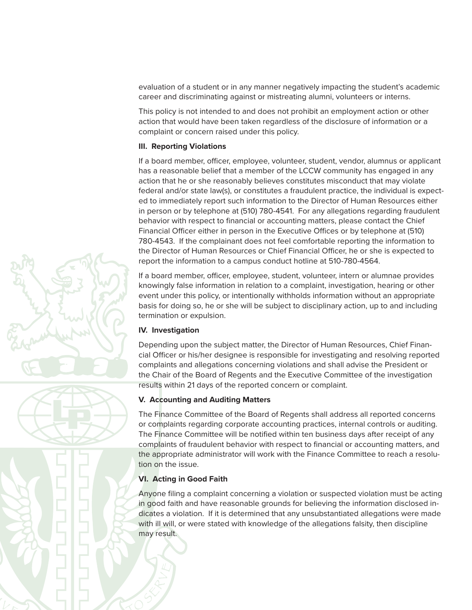evaluation of a student or in any manner negatively impacting the student's academic career and discriminating against or mistreating alumni, volunteers or interns.

This policy is not intended to and does not prohibit an employment action or other action that would have been taken regardless of the disclosure of information or a complaint or concern raised under this policy.

### **III. Reporting Violations**

If a board member, officer, employee, volunteer, student, vendor, alumnus or applicant has a reasonable belief that a member of the LCCW community has engaged in any action that he or she reasonably believes constitutes misconduct that may violate federal and/or state law(s), or constitutes a fraudulent practice, the individual is expected to immediately report such information to the Director of Human Resources either in person or by telephone at (510) 780-4541. For any allegations regarding fraudulent behavior with respect to financial or accounting matters, please contact the Chief Financial Officer either in person in the Executive Offices or by telephone at (510) 780-4543. If the complainant does not feel comfortable reporting the information to the Director of Human Resources or Chief Financial Officer, he or she is expected to report the information to a campus conduct hotline at 510-780-4564.

If a board member, officer, employee, student, volunteer, intern or alumnae provides knowingly false information in relation to a complaint, investigation, hearing or other event under this policy, or intentionally withholds information without an appropriate basis for doing so, he or she will be subject to disciplinary action, up to and including termination or expulsion.

#### **IV. Investigation**

Depending upon the subject matter, the Director of Human Resources, Chief Financial Officer or his/her designee is responsible for investigating and resolving reported complaints and allegations concerning violations and shall advise the President or the Chair of the Board of Regents and the Executive Committee of the investigation results within 21 days of the reported concern or complaint.

# **V. Accounting and Auditing Matters**

The Finance Committee of the Board of Regents shall address all reported concerns or complaints regarding corporate accounting practices, internal controls or auditing. The Finance Committee will be notified within ten business days after receipt of any complaints of fraudulent behavior with respect to financial or accounting matters, and the appropriate administrator will work with the Finance Committee to reach a resolution on the issue.

# **VI. Acting in Good Faith**

Anyone filing a complaint concerning a violation or suspected violation must be acting in good faith and have reasonable grounds for believing the information disclosed indicates a violation. If it is determined that any unsubstantiated allegations were made with ill will, or were stated with knowledge of the allegations falsity, then discipline may result.